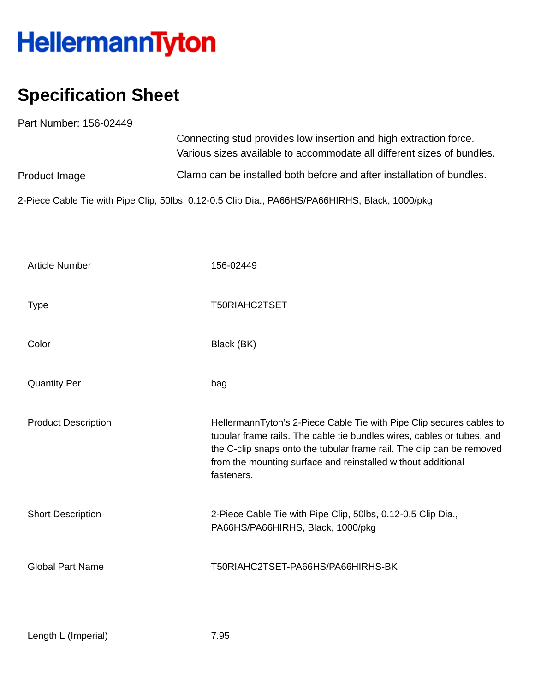## HellermannTyton

## **Specification Sheet**

Part Number: 156-02449 Product Image Connecting stud provides low insertion and high extraction force. Various sizes available to accommodate all different sizes of bundles. Clamp can be installed both before and after installation of bundles.

2-Piece Cable Tie with Pipe Clip, 50lbs, 0.12-0.5 Clip Dia., PA66HS/PA66HIRHS, Black, 1000/pkg

| <b>Article Number</b>      | 156-02449                                                                                                                                                                                                                                                                                             |
|----------------------------|-------------------------------------------------------------------------------------------------------------------------------------------------------------------------------------------------------------------------------------------------------------------------------------------------------|
| <b>Type</b>                | T50RIAHC2TSET                                                                                                                                                                                                                                                                                         |
| Color                      | Black (BK)                                                                                                                                                                                                                                                                                            |
| <b>Quantity Per</b>        | bag                                                                                                                                                                                                                                                                                                   |
| <b>Product Description</b> | HellermannTyton's 2-Piece Cable Tie with Pipe Clip secures cables to<br>tubular frame rails. The cable tie bundles wires, cables or tubes, and<br>the C-clip snaps onto the tubular frame rail. The clip can be removed<br>from the mounting surface and reinstalled without additional<br>fasteners. |
| <b>Short Description</b>   | 2-Piece Cable Tie with Pipe Clip, 50lbs, 0.12-0.5 Clip Dia.,<br>PA66HS/PA66HIRHS, Black, 1000/pkg                                                                                                                                                                                                     |
| <b>Global Part Name</b>    | T50RIAHC2TSET-PA66HS/PA66HIRHS-BK                                                                                                                                                                                                                                                                     |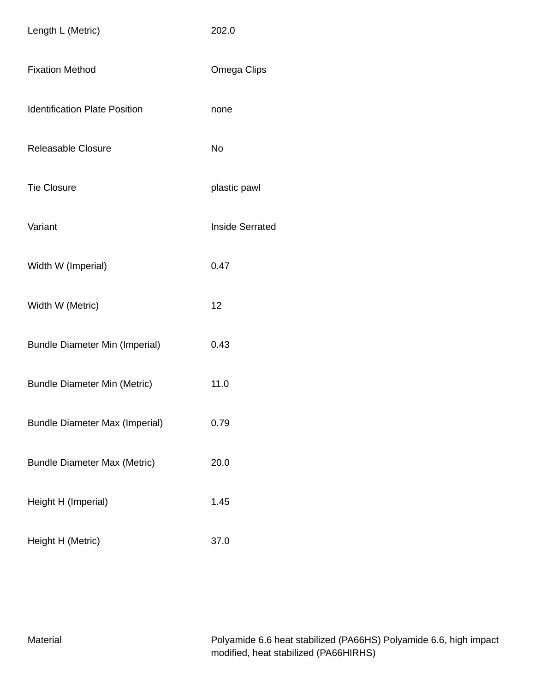| Length L (Metric)                     | 202.0                  |
|---------------------------------------|------------------------|
| <b>Fixation Method</b>                | Omega Clips            |
| <b>Identification Plate Position</b>  | none                   |
| Releasable Closure                    | <b>No</b>              |
| <b>Tie Closure</b>                    | plastic pawl           |
| Variant                               | <b>Inside Serrated</b> |
| Width W (Imperial)                    | 0.47                   |
| Width W (Metric)                      | 12                     |
| <b>Bundle Diameter Min (Imperial)</b> | 0.43                   |
| <b>Bundle Diameter Min (Metric)</b>   | 11.0                   |
| <b>Bundle Diameter Max (Imperial)</b> | 0.79                   |
| <b>Bundle Diameter Max (Metric)</b>   | 20.0                   |
| Height H (Imperial)                   | 1.45                   |
| Height H (Metric)                     | 37.0                   |